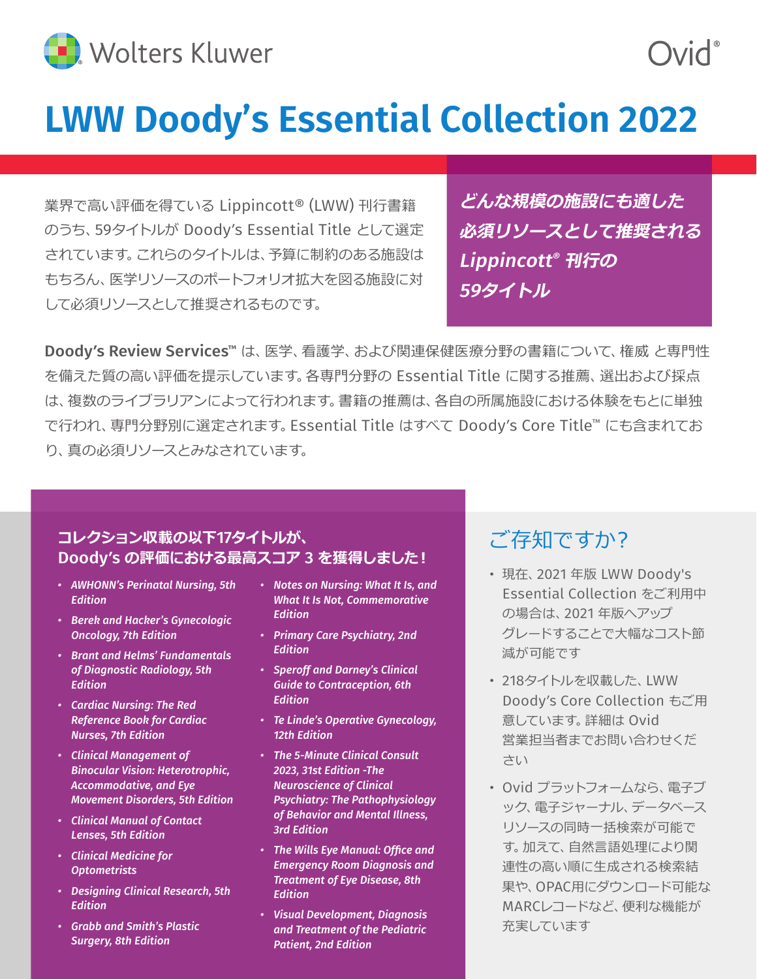

# **LWW Doody's Essential Collection 2022**

業界で高い評価を得ている Lippincott® (LWW) 刊行書籍 のうち、59タイトルが Doody's Essential Title として選定 されています。これらのタイトルは、予算に制約のある施設は もちろん、医学リソースのポートフォリオ拡大を図る施設に対 して必須リソースとして推奨されるものです。

**どんな規模の施設にも適した 必須リソースとして推奨される** Lippincott® **刊行の** 59**タイトル**

Doody**'**s Review Services™ は、医学、看護学、および関連保健医療分野の書籍について、権威 と専門性 を備えた質の高い評価を提示しています。各専門分野の Essential Title に関する推薦、選出および採点 は、複数のライブラリアンによって行われます。書籍の推薦は、各自の所属施設における体験をもとに単独 で行われ、専門分野別に選定されます。Essential Title はすべて Doody's Core Title™ にも含まれてお り、真の必須リソースとみなされています。

#### **コレクション収載の以下**17**タイトルが、** Doody**'**s **の評価における最高スコア** 3 **を獲得しました︕**

- *AWHONN's Perinatal Nursing, 5th Edition*
- *Berek and Hacker's Gynecologic Oncology, 7th Edition*
- *Brant and Helms' Fundamentals of Diagnostic Radiology, 5th Edition*
- *Cardiac Nursing: The Red Reference Book for Cardiac Nurses, 7th Edition*
- *Clinical Management of Binocular Vision: Heterotrophic, Accommodative, and Eye Movement Disorders, 5th Edition*
- *Clinical Manual of Contact Lenses, 5th Edition*
- *Clinical Medicine for Optometrists*
- *Designing Clinical Research, 5th Edition*
- *Grabb and Smith's Plastic Surgery, 8th Edition*
- *Notes on Nursing: What It Is, and What It Is Not, Commemorative Edition*
- *Primary Care Psychiatry, 2nd Edition*
- *Speroff and Darney's Clinical Guide to Contraception, 6th Edition*
- *Te Linde's Operative Gynecology, 12th Edition*
- *The 5-Minute Clinical Consult 2023, 31st Edition -The Neuroscience of Clinical Psychiatry: The Pathophysiology of Behavior and Mental Illness, 3rd Edition*
- *The Wills Eye Manual: Office and Emergency Room Diagnosis and Treatment of Eye Disease, 8th Edition*
- *Visual Development, Diagnosis and Treatment of the Pediatric Patient, 2nd Edition*

### ご存知ですか?

- 現在、2021 年版 LWW Doody's Essential Collection をご利用中 の場合は、2021 年版へアップ グレードすることで大幅なコスト節 減が可能です
- 218タイトルを収載した、LWW Doody's Core Collection もご用 意しています。詳細は Ovid 営業担当者までお問い合わせくだ さい
- Ovid プラットフォームなら、電子ブ ック、電子ジャーナル、データベース リソースの同時一括検索が可能で す。加えて、自然言語処理により関 連性の高い順に生成される検索結 果や、OPAC用にダウンロード可能な MARCレコードなど、便利な機能が 充実しています